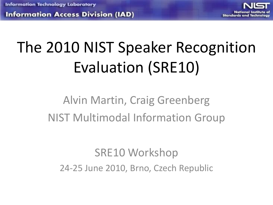**Information Access Division (IAD)** 



# The 2010 NIST Speaker Recognition Evaluation (SRE10)

#### Alvin Martin, Craig Greenberg NIST Multimodal Information Group

#### SRE10 Workshop 24-25 June 2010, Brno, Czech Republic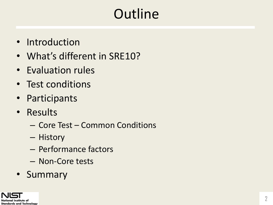## **Outline**

- Introduction
- What's different in SRE10?
- Evaluation rules
- Test conditions
- Participants
- Results
	- Core Test Common Conditions
	- History
	- Performance factors
	- Non-Core tests
- Summary

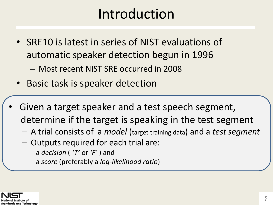#### Introduction

- SRE10 is latest in series of NIST evaluations of automatic speaker detection begun in 1996
	- Most recent NIST SRE occurred in 2008
- Basic task is speaker detection
- Given a target speaker and a test speech segment, determine if the target is speaking in the test segment
	- A trial consists of a *model* (target training data) and a *test segment*
	- Outputs required for each trial are: a *decision* ( *'T'* or *'F'* ) and a *score* (preferably a *log-likelihood ratio*)

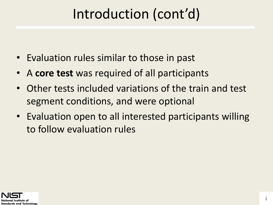#### Introduction (cont'd)

- Evaluation rules similar to those in past
- A **core test** was required of all participants
- Other tests included variations of the train and test segment conditions, and were optional
- Evaluation open to all interested participants willing to follow evaluation rules

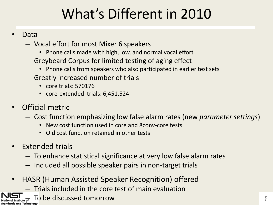## What's Different in 2010

#### • Data

- Vocal effort for most Mixer 6 speakers
	- Phone calls made with high, low, and normal vocal effort
- Greybeard Corpus for limited testing of aging effect
	- Phone calls from speakers who also participated in earlier test sets
- Greatly increased number of trials
	- core trials: 570176
	- core-extended trials: 6,451,524
- Official metric
	- Cost function emphasizing low false alarm rates (new *parameter settings*)
		- New cost function used in core and 8conv-core tests
		- Old cost function retained in other tests
- Extended trials
	- To enhance statistical significance at very low false alarm rates
	- Included all possible speaker pairs in non-target trials
- HASR (Human Assisted Speaker Recognition) offered
	- Trials included in the core test of main evaluation

To be discussed tomorrow and the set of the set of the set of the set of the set of the set of the set of the s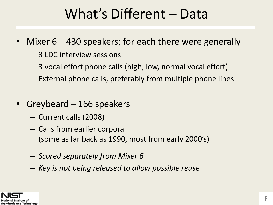#### What's Different – Data

- Mixer 6 430 speakers; for each there were generally
	- 3 LDC interview sessions
	- 3 vocal effort phone calls (high, low, normal vocal effort)
	- External phone calls, preferably from multiple phone lines
- Greybeard 166 speakers
	- Current calls (2008)
	- Calls from earlier corpora (some as far back as 1990, most from early 2000's)
	- *Scored separately from Mixer 6*
	- *Key is not being released to allow possible reuse*

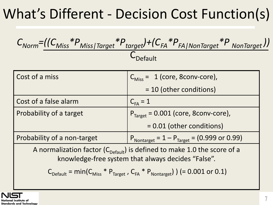## What's Different - Decision Cost Function(s)

$$
C_{Norm} = \frac{((C_{Miss} * P_{Miss | Target} * P_{target}) + (C_{FA} * P_{FA | NonTarget} * P_{NonTarget}))}{C_{Default}}
$$

| Cost of a miss                                                                                                                              | $C_{\text{Miss}} = 1$ (core, 8conv-core),                                 |  |
|---------------------------------------------------------------------------------------------------------------------------------------------|---------------------------------------------------------------------------|--|
|                                                                                                                                             | = 10 (other conditions)                                                   |  |
| Cost of a false alarm                                                                                                                       | $C_{FA} = 1$                                                              |  |
| Probability of a target                                                                                                                     | $PTarget = 0.001 (core, 8conv-core),$                                     |  |
|                                                                                                                                             | = 0.01 (other conditions)                                                 |  |
| Probability of a non-target                                                                                                                 | $P_{\text{Nontarget}} = 1 - P_{\text{Target}} = (0.999 \text{ or } 0.99)$ |  |
| A normalization factor ( $C_{\text{Default}}$ ) is defined to make 1.0 the score of a<br>knowledge-free system that always decides "False". |                                                                           |  |
| $C_{\text{Default}} = \text{min}(C_{\text{Miss}} * P_{\text{Target}} , C_{\text{FA}} * P_{\text{Nontarget}})$ (= 0.001 or 0.1)              |                                                                           |  |

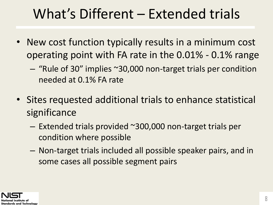#### What's Different – Extended trials

- New cost function typically results in a minimum cost operating point with FA rate in the 0.01% - 0.1% range
	- "Rule of 30" implies ~30,000 non-target trials per condition needed at 0.1% FA rate
- Sites requested additional trials to enhance statistical significance
	- Extended trials provided ~300,000 non-target trials per condition where possible
	- Non-target trials included all possible speaker pairs, and in some cases all possible segment pairs

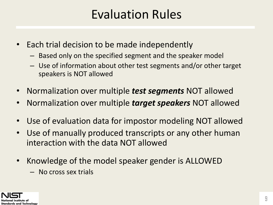#### Evaluation Rules

- Each trial decision to be made independently
	- Based only on the specified segment and the speaker model
	- Use of information about other test segments and/or other target speakers is NOT allowed
- Normalization over multiple *test segments* NOT allowed
- Normalization over multiple *target speakers* NOT allowed
- Use of evaluation data for impostor modeling NOT allowed
- Use of manually produced transcripts or any other human interaction with the data NOT allowed
- Knowledge of the model speaker gender is ALLOWED
	- No cross sex trials

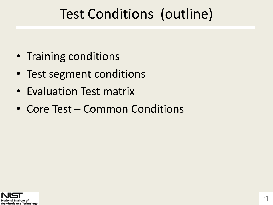#### Test Conditions (outline)

- Training conditions
- Test segment conditions
- Evaluation Test matrix
- Core Test Common Conditions

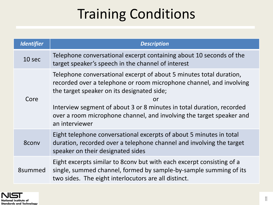## Training Conditions

| <b>Identifier</b> | <b>Description</b>                                                                                                                                                                                                                                                                                                                                                |
|-------------------|-------------------------------------------------------------------------------------------------------------------------------------------------------------------------------------------------------------------------------------------------------------------------------------------------------------------------------------------------------------------|
| 10 sec            | Telephone conversational excerpt containing about 10 seconds of the<br>target speaker's speech in the channel of interest                                                                                                                                                                                                                                         |
| Core              | Telephone conversational excerpt of about 5 minutes total duration,<br>recorded over a telephone or room microphone channel, and involving<br>the target speaker on its designated side;<br>or<br>Interview segment of about 3 or 8 minutes in total duration, recorded<br>over a room microphone channel, and involving the target speaker and<br>an interviewer |
| 8conv             | Eight telephone conversational excerpts of about 5 minutes in total<br>duration, recorded over a telephone channel and involving the target<br>speaker on their designated sides                                                                                                                                                                                  |
| 8summed           | Eight excerpts similar to 8conv but with each excerpt consisting of a<br>single, summed channel, formed by sample-by-sample summing of its<br>two sides. The eight interlocutors are all distinct.                                                                                                                                                                |

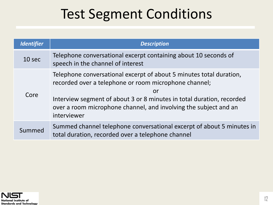#### Test Segment Conditions

| <b>Identifier</b> | <b>Description</b>                                                                                                                                                                                                                                                                             |
|-------------------|------------------------------------------------------------------------------------------------------------------------------------------------------------------------------------------------------------------------------------------------------------------------------------------------|
| 10 <sub>sec</sub> | Telephone conversational excerpt containing about 10 seconds of<br>speech in the channel of interest                                                                                                                                                                                           |
| Core              | Telephone conversational excerpt of about 5 minutes total duration,<br>recorded over a telephone or room microphone channel;<br>or<br>Interview segment of about 3 or 8 minutes in total duration, recorded<br>over a room microphone channel, and involving the subject and an<br>interviewer |
| Summed            | Summed channel telephone conversational excerpt of about 5 minutes in<br>total duration, recorded over a telephone channel                                                                                                                                                                     |

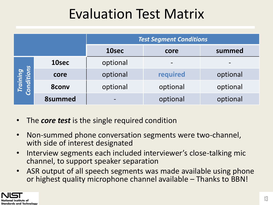#### Evaluation Test Matrix

|                        |                | <b>Test Segment Conditions</b> |          |          |
|------------------------|----------------|--------------------------------|----------|----------|
|                        |                | 10sec                          | core     | summed   |
|                        | 10sec          | optional                       |          |          |
|                        | core           | optional                       | required | optional |
| Training<br>Conditions | <b>8conv</b>   | optional                       | optional | optional |
|                        | <b>8summed</b> |                                | optional | optional |

- The *core test* is the single required condition
- Non-summed phone conversation segments were two-channel, with side of interest designated
- Interview segments each included interviewer's close-talking mic channel, to support speaker separation
- ASR output of all speech segments was made available using phone or highest quality microphone channel available – Thanks to BBN!

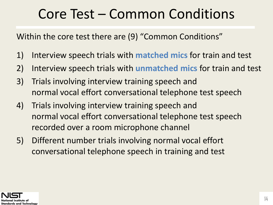#### Core Test – Common Conditions

Within the core test there are (9) "Common Conditions"

- 1) Interview speech trials with **matched mics** for train and test
- 2) Interview speech trials with **unmatched mics** for train and test
- 3) Trials involving interview training speech and normal vocal effort conversational telephone test speech
- 4) Trials involving interview training speech and normal vocal effort conversational telephone test speech recorded over a room microphone channel
- 5) Different number trials involving normal vocal effort conversational telephone speech in training and test

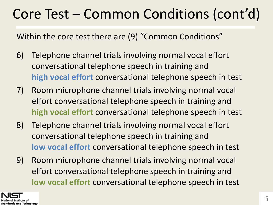#### Core Test – Common Conditions (cont'd)

Within the core test there are (9) "Common Conditions"

- 6) Telephone channel trials involving normal vocal effort conversational telephone speech in training and **high vocal effort** conversational telephone speech in test
- 7) Room microphone channel trials involving normal vocal effort conversational telephone speech in training and **high vocal effort** conversational telephone speech in test
- 8) Telephone channel trials involving normal vocal effort conversational telephone speech in training and **low vocal effort** conversational telephone speech in test
- 9) Room microphone channel trials involving normal vocal effort conversational telephone speech in training and **low vocal effort** conversational telephone speech in test

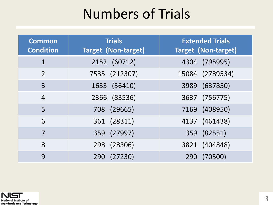#### Numbers of Trials

| <b>Common</b><br><b>Condition</b> | <b>Trials</b><br><b>Target (Non-target)</b> | <b>Extended Trials</b><br><b>Target (Non-target)</b> |
|-----------------------------------|---------------------------------------------|------------------------------------------------------|
| 1                                 | 2152 (60712)                                | 4304 (795995)                                        |
| $\overline{2}$                    | 7535 (212307)                               | 15084 (2789534)                                      |
| 3                                 | 1633 (56410)                                | 3989 (637850)                                        |
| $\overline{4}$                    | 2366 (83536)                                | 3637 (756775)                                        |
| 5                                 | 708 (29665)                                 | 7169 (408950)                                        |
| 6                                 | 361 (28311)                                 | 4137 (461438)                                        |
| 7                                 | 359 (27997)                                 | 359 (82551)                                          |
| 8                                 | 298 (28306)                                 | 3821 (404848)                                        |
| 9                                 | 290 (27230)                                 | (70500)<br>290                                       |

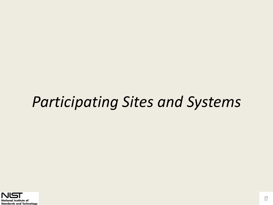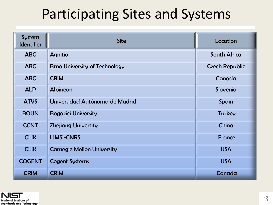| System<br><b>Identifier</b> | <b>Site</b>                             | Location              |
|-----------------------------|-----------------------------------------|-----------------------|
| <b>ABC</b>                  | <b>Agnitio</b>                          | <b>South Africa</b>   |
| <b>ABC</b>                  | <b>Brno University of Technology</b>    | <b>Czech Republic</b> |
| <b>ABC</b>                  | <b>CRIM</b>                             | Canada                |
| <b>ALP</b>                  | <b>Alpineon</b>                         | Slovenia              |
| <b>ATVS</b>                 | Universidad Autónoma de Madrid<br>Spain |                       |
| <b>BOUN</b>                 | <b>Bogazici University</b>              | <b>Turkey</b>         |
| <b>CCNT</b>                 | <b>Zhejiang University</b>              | China                 |
| <b>CLIK</b>                 | <b>LIMSI-CNRS</b>                       | <b>France</b>         |
| <b>CLIK</b>                 | <b>Carnegie Mellon University</b>       | <b>USA</b>            |
| <b>COGENT</b>               | <b>Cogent Systems</b>                   | <b>USA</b>            |
| <b>CRIM</b>                 | <b>CRIM</b>                             | Canada                |

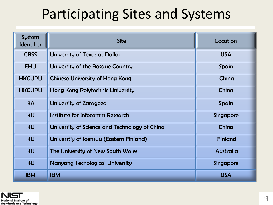| System<br><b>Identifier</b> | <b>Site</b>                                   | Location         |
|-----------------------------|-----------------------------------------------|------------------|
| <b>CRSS</b>                 | <b>University of Texas at Dallas</b>          | <b>USA</b>       |
| <b>EHU</b>                  | University of the Basque Country              | Spain            |
| <b>HKCUPU</b>               | <b>Chinese University of Hong Kong</b>        | China            |
| <b>HKCUPU</b>               | <b>Hong Kong Polytechnic University</b>       | China            |
| I3A                         | University of Zaragoza                        | <b>Spain</b>     |
| 4U                          | Institute for Infocomm Research               | <b>Singapore</b> |
| 4U                          | University of Science and Technology of China | China            |
| 4U                          | Universtiy of Joensuu (Eastern Finland)       | <b>Finland</b>   |
| 4U                          | The University of New South Wales             | <b>Australia</b> |
| 4U                          | <b>Nanyang Techological University</b>        | <b>Singapore</b> |
| <b>IBM</b>                  | <b>IBM</b>                                    | <b>USA</b>       |

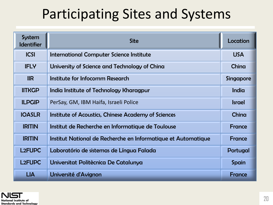| System<br><b>Identifier</b> | <b>Site</b>                                                   | Location         |
|-----------------------------|---------------------------------------------------------------|------------------|
| <b>ICSI</b>                 | <b>International Computer Science Institute</b>               | <b>USA</b>       |
| <b>IFLY</b>                 | University of Science and Technology of China                 | China            |
| IIR                         | Institute for Infocomm Research                               | <b>Singapore</b> |
| <b>IITKGP</b>               | India Institute of Technology Kharagpur                       | India            |
| <b>ILPGIP</b>               | PerSay, GM, IBM Haifa, Israeli Police                         | <b>Israel</b>    |
| <b>IOASLR</b>               | Institute of Acoustics, Chinese Academy of Sciences           | China            |
| <b>IRITIN</b>               | Institut de Recherche en Informatique de Toulouse             | <b>France</b>    |
| <b>IRITIN</b>               | Institut National de Recherche en Informatique et Automatique | <b>France</b>    |
| <b>L2FUPC</b>               | Laboratório de sistemas de Língua Falada                      | Portugal         |
| <b>L2FUPC</b>               | Universitat Politècnica De Catalunya                          | Spain            |
| <b>LIA</b>                  | Université d'Avignon                                          | <b>France</b>    |

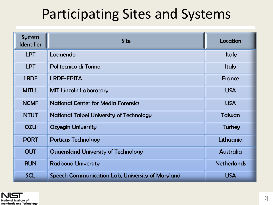| System<br><b>Identifier</b> | <b>Site</b>                                      | Location           |
|-----------------------------|--------------------------------------------------|--------------------|
| <b>LPT</b>                  | Loquendo                                         | <b>Italy</b>       |
| <b>LPT</b>                  | Politecnico di Torino                            | <b>Italy</b>       |
| <b>LRDE</b>                 | <b>LRDE-EPITA</b>                                | France             |
| <b>MITLL</b>                | <b>MIT Lincoln Laboratory</b>                    | <b>USA</b>         |
| <b>NCMF</b>                 | <b>National Center for Media Forensics</b>       | <b>USA</b>         |
| <b>NTUT</b>                 | <b>National Taipei University of Technology</b>  | Taiwan             |
| <b>OZU</b>                  | <b>Ozyegin University</b>                        | <b>Turkey</b>      |
| <b>PORT</b>                 | <b>Porticus Technolgoy</b>                       | Lithuania          |
| <b>QUT</b>                  | Quuensland University of Technology              | Australia          |
| <b>RUN</b>                  | <b>Radboud University</b>                        | <b>Netherlands</b> |
| <b>SCL</b>                  | Speech Communication Lab, University of Maryland | <b>USA</b>         |

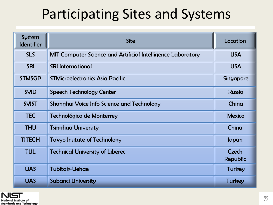| System<br><b>Identifier</b> | <b>Site</b>                                                        | Location                        |
|-----------------------------|--------------------------------------------------------------------|---------------------------------|
| <b>SLS</b>                  | <b>MIT Computer Science and Artificial Intelligence Laboratory</b> | <b>USA</b>                      |
| <b>SRI</b>                  | <b>SRI International</b>                                           | <b>USA</b>                      |
| <b>STMSGP</b>               | <b>STMicroelectronics Asia Pacific</b>                             | <b>Singapore</b>                |
| <b>SVID</b>                 | <b>Speech Technology Center</b>                                    | <b>Russia</b>                   |
| <b>SVIST</b>                | <b>Shanghai Voice Info Science and Technology</b>                  | China                           |
| <b>TEC</b>                  | Technológico de Monterrey                                          | <b>Mexico</b>                   |
| <b>THU</b>                  | <b>Tsinghua University</b>                                         | China                           |
| <b>TITECH</b>               | <b>Tokyo Insitute of Technology</b>                                | Japan                           |
| <b>TUL</b>                  | <b>Technical University of Liberec</b>                             | <b>Czech</b><br><b>Republic</b> |
| <b>UAS</b>                  | Tubitak-Uekae                                                      | <b>Turkey</b>                   |
| <b>UAS</b>                  | <b>Sabanci University</b>                                          | <b>Turkey</b>                   |